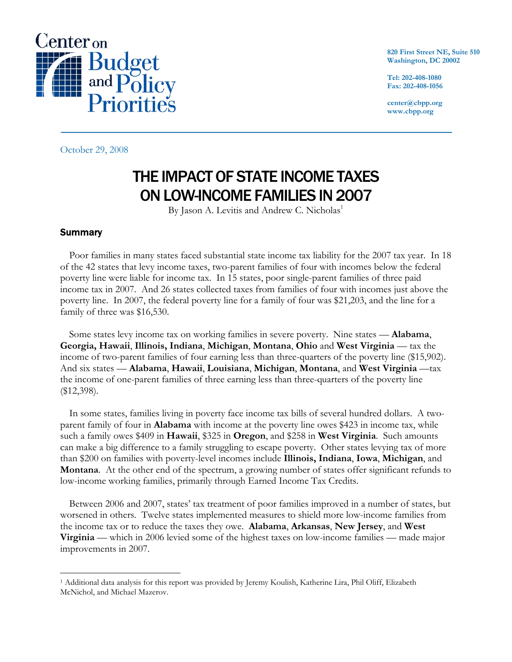

**820 First Street NE, Suite 510 Washington, DC 20002** 

**Tel: 202-408-1080 Fax: 202-408-1056** 

**center@cbpp.org www.cbpp.org** 

October 29, 2008

# THE IMPACT OF STATE INCOME TAXES ON LOW-INCOME FAMILIES IN 2007

By Jason A. Levitis and Andrew C. Nicholas<sup>1</sup>

### **Summary**

 $\overline{a}$ 

Poor families in many states faced substantial state income tax liability for the 2007 tax year. In 18 of the 42 states that levy income taxes, two-parent families of four with incomes below the federal poverty line were liable for income tax. In 15 states, poor single-parent families of three paid income tax in 2007. And 26 states collected taxes from families of four with incomes just above the poverty line. In 2007, the federal poverty line for a family of four was \$21,203, and the line for a family of three was \$16,530.

Some states levy income tax on working families in severe poverty. Nine states — **Alabama**, **Georgia, Hawaii**, **Illinois, Indiana**, **Michigan**, **Montana**, **Ohio** and **West Virginia** — tax the income of two-parent families of four earning less than three-quarters of the poverty line (\$15,902). And six states — **Alabama**, **Hawaii**, **Louisiana**, **Michigan**, **Montana**, and **West Virginia** —tax the income of one-parent families of three earning less than three-quarters of the poverty line (\$12,398).

In some states, families living in poverty face income tax bills of several hundred dollars. A twoparent family of four in **Alabama** with income at the poverty line owes \$423 in income tax, while such a family owes \$409 in **Hawaii**, \$325 in **Oregon**, and \$258 in **West Virginia**. Such amounts can make a big difference to a family struggling to escape poverty. Other states levying tax of more than \$200 on families with poverty-level incomes include **Illinois, Indiana**, **Iowa**, **Michigan**, and **Montana**. At the other end of the spectrum, a growing number of states offer significant refunds to low-income working families, primarily through Earned Income Tax Credits.

Between 2006 and 2007, states' tax treatment of poor families improved in a number of states, but worsened in others. Twelve states implemented measures to shield more low-income families from the income tax or to reduce the taxes they owe. **Alabama**, **Arkansas**, **New Jersey**, and **West Virginia** — which in 2006 levied some of the highest taxes on low-income families — made major improvements in 2007.

<sup>1</sup> Additional data analysis for this report was provided by Jeremy Koulish, Katherine Lira, Phil Oliff, Elizabeth McNichol, and Michael Mazerov.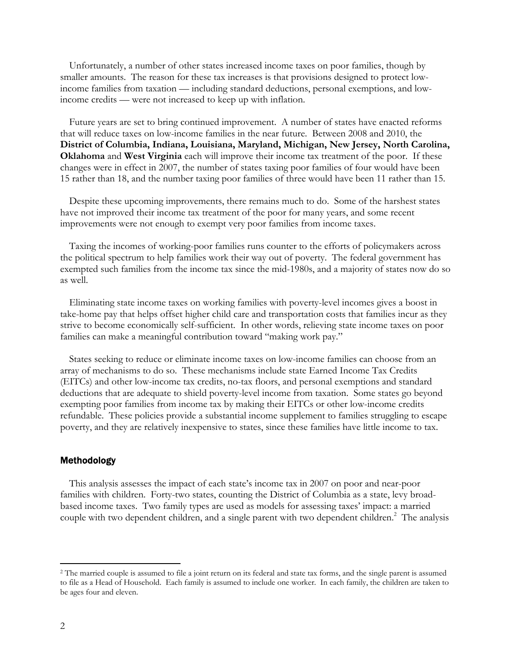Unfortunately, a number of other states increased income taxes on poor families, though by smaller amounts. The reason for these tax increases is that provisions designed to protect lowincome families from taxation — including standard deductions, personal exemptions, and lowincome credits — were not increased to keep up with inflation.

Future years are set to bring continued improvement. A number of states have enacted reforms that will reduce taxes on low-income families in the near future. Between 2008 and 2010, the **District of Columbia, Indiana, Louisiana, Maryland, Michigan, New Jersey, North Carolina, Oklahoma** and **West Virginia** each will improve their income tax treatment of the poor. If these changes were in effect in 2007, the number of states taxing poor families of four would have been 15 rather than 18, and the number taxing poor families of three would have been 11 rather than 15.

Despite these upcoming improvements, there remains much to do. Some of the harshest states have not improved their income tax treatment of the poor for many years, and some recent improvements were not enough to exempt very poor families from income taxes.

Taxing the incomes of working-poor families runs counter to the efforts of policymakers across the political spectrum to help families work their way out of poverty. The federal government has exempted such families from the income tax since the mid-1980s, and a majority of states now do so as well.

Eliminating state income taxes on working families with poverty-level incomes gives a boost in take-home pay that helps offset higher child care and transportation costs that families incur as they strive to become economically self-sufficient. In other words, relieving state income taxes on poor families can make a meaningful contribution toward "making work pay."

States seeking to reduce or eliminate income taxes on low-income families can choose from an array of mechanisms to do so. These mechanisms include state Earned Income Tax Credits (EITCs) and other low-income tax credits, no-tax floors, and personal exemptions and standard deductions that are adequate to shield poverty-level income from taxation. Some states go beyond exempting poor families from income tax by making their EITCs or other low-income credits refundable. These policies provide a substantial income supplement to families struggling to escape poverty, and they are relatively inexpensive to states, since these families have little income to tax.

#### Methodology

This analysis assesses the impact of each state's income tax in 2007 on poor and near-poor families with children. Forty-two states, counting the District of Columbia as a state, levy broadbased income taxes. Two family types are used as models for assessing taxes' impact: a married couple with two dependent children, and a single parent with two dependent children.<sup>2</sup> The analysis

 $\overline{a}$ 

<sup>&</sup>lt;sup>2</sup> The married couple is assumed to file a joint return on its federal and state tax forms, and the single parent is assumed to file as a Head of Household. Each family is assumed to include one worker. In each family, the children are taken to be ages four and eleven.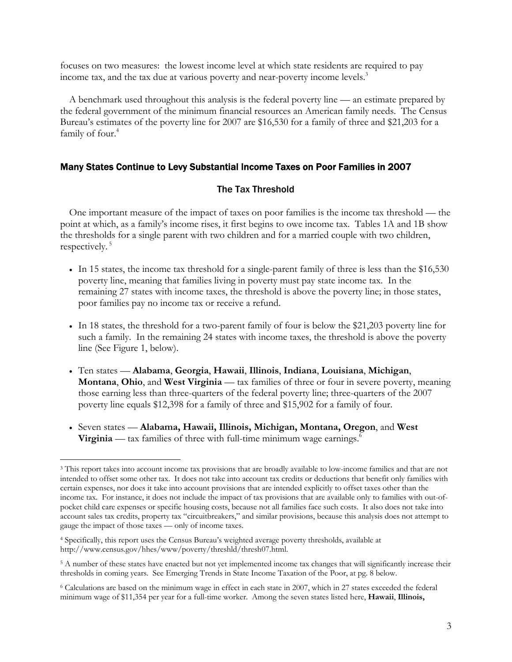focuses on two measures: the lowest income level at which state residents are required to pay income tax, and the tax due at various poverty and near-poverty income levels.<sup>3</sup>

A benchmark used throughout this analysis is the federal poverty line — an estimate prepared by the federal government of the minimum financial resources an American family needs. The Census Bureau's estimates of the poverty line for 2007 are \$16,530 for a family of three and \$21,203 for a family of four.<sup>4</sup>

### Many States Continue to Levy Substantial Income Taxes on Poor Families in 2007

### The Tax Threshold

One important measure of the impact of taxes on poor families is the income tax threshold — the point at which, as a family's income rises, it first begins to owe income tax. Tables 1A and 1B show the thresholds for a single parent with two children and for a married couple with two children, respectively. 5

- In 15 states, the income tax threshold for a single-parent family of three is less than the \$16,530 poverty line, meaning that families living in poverty must pay state income tax. In the remaining 27 states with income taxes, the threshold is above the poverty line; in those states, poor families pay no income tax or receive a refund.
- In 18 states, the threshold for a two-parent family of four is below the \$21,203 poverty line for such a family. In the remaining 24 states with income taxes, the threshold is above the poverty line (See Figure 1, below).
- Ten states **Alabama**, **Georgia**, **Hawaii**, **Illinois**, **Indiana**, **Louisiana**, **Michigan**, **Montana**, **Ohio**, and **West Virginia** — tax families of three or four in severe poverty, meaning those earning less than three-quarters of the federal poverty line; three-quarters of the 2007 poverty line equals \$12,398 for a family of three and \$15,902 for a family of four.
- Seven states **Alabama, Hawaii, Illinois, Michigan, Montana, Oregon**, and **West Virginia** — tax families of three with full-time minimum wage earnings.<sup>6</sup>

 $\overline{a}$ 

<sup>3</sup> This report takes into account income tax provisions that are broadly available to low-income families and that are not intended to offset some other tax. It does not take into account tax credits or deductions that benefit only families with certain expenses, nor does it take into account provisions that are intended explicitly to offset taxes other than the income tax. For instance, it does not include the impact of tax provisions that are available only to families with out-ofpocket child care expenses or specific housing costs, because not all families face such costs. It also does not take into account sales tax credits, property tax "circuitbreakers," and similar provisions, because this analysis does not attempt to gauge the impact of those taxes — only of income taxes.

<sup>4</sup> Specifically, this report uses the Census Bureau's weighted average poverty thresholds, available at http://www.census.gov/hhes/www/poverty/threshld/thresh07.html.

<sup>&</sup>lt;sup>5</sup> A number of these states have enacted but not yet implemented income tax changes that will significantly increase their thresholds in coming years. See Emerging Trends in State Income Taxation of the Poor, at pg. 8 below.

<sup>6</sup> Calculations are based on the minimum wage in effect in each state in 2007, which in 27 states exceeded the federal minimum wage of \$11,354 per year for a full-time worker. Among the seven states listed here, **Hawaii**, **Illinois,**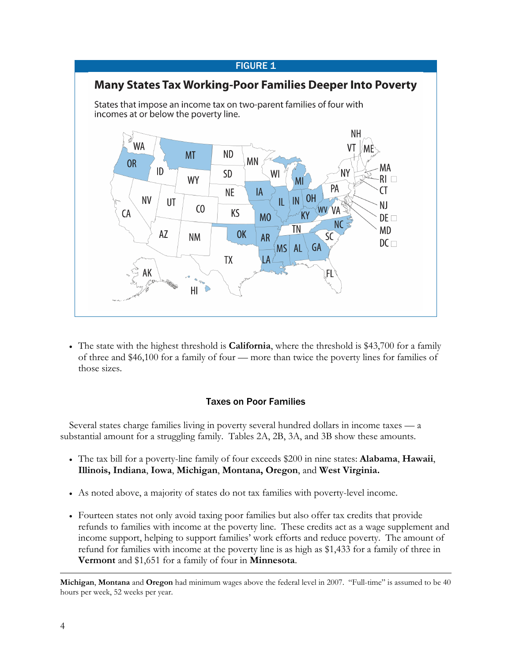#### **FIGURE 1**



• The state with the highest threshold is **California**, where the threshold is \$43,700 for a family of three and \$46,100 for a family of four — more than twice the poverty lines for families of those sizes.

### Taxes on Poor Families

Several states charge families living in poverty several hundred dollars in income taxes — a substantial amount for a struggling family. Tables 2A, 2B, 3A, and 3B show these amounts.

- The tax bill for a poverty-line family of four exceeds \$200 in nine states: **Alabama**, **Hawaii**, **Illinois, Indiana**, **Iowa**, **Michigan**, **Montana, Oregon**, and **West Virginia.**
- As noted above, a majority of states do not tax families with poverty-level income.
- Fourteen states not only avoid taxing poor families but also offer tax credits that provide refunds to families with income at the poverty line. These credits act as a wage supplement and income support, helping to support families' work efforts and reduce poverty. The amount of refund for families with income at the poverty line is as high as \$1,433 for a family of three in **Vermont** and \$1,651 for a family of four in **Minnesota**.

 $\overline{a}$ **Michigan**, **Montana** and **Oregon** had minimum wages above the federal level in 2007. "Full-time" is assumed to be 40 hours per week, 52 weeks per year.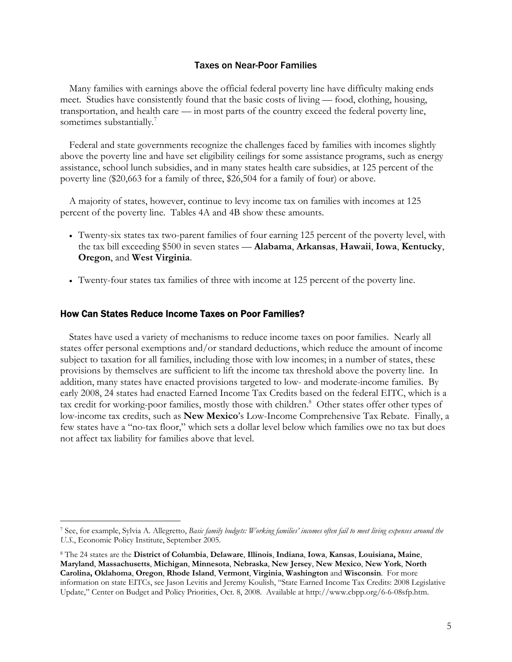#### Taxes on Near-Poor Families

Many families with earnings above the official federal poverty line have difficulty making ends meet. Studies have consistently found that the basic costs of living — food, clothing, housing, transportation, and health care — in most parts of the country exceed the federal poverty line, sometimes substantially.<sup>7</sup>

Federal and state governments recognize the challenges faced by families with incomes slightly above the poverty line and have set eligibility ceilings for some assistance programs, such as energy assistance, school lunch subsidies, and in many states health care subsidies, at 125 percent of the poverty line (\$20,663 for a family of three, \$26,504 for a family of four) or above.

A majority of states, however, continue to levy income tax on families with incomes at 125 percent of the poverty line. Tables 4A and 4B show these amounts.

- Twenty-six states tax two-parent families of four earning 125 percent of the poverty level, with the tax bill exceeding \$500 in seven states — **Alabama**, **Arkansas**, **Hawaii**, **Iowa**, **Kentucky**, **Oregon**, and **West Virginia**.
- Twenty-four states tax families of three with income at 125 percent of the poverty line.

#### How Can States Reduce Income Taxes on Poor Families?

 $\overline{a}$ 

States have used a variety of mechanisms to reduce income taxes on poor families. Nearly all states offer personal exemptions and/or standard deductions, which reduce the amount of income subject to taxation for all families, including those with low incomes; in a number of states, these provisions by themselves are sufficient to lift the income tax threshold above the poverty line. In addition, many states have enacted provisions targeted to low- and moderate-income families. By early 2008, 24 states had enacted Earned Income Tax Credits based on the federal EITC, which is a tax credit for working-poor families, mostly those with children.<sup>8</sup> Other states offer other types of low-income tax credits, such as **New Mexico**'s Low-Income Comprehensive Tax Rebate. Finally, a few states have a "no-tax floor," which sets a dollar level below which families owe no tax but does not affect tax liability for families above that level.

<sup>7</sup> See, for example, Sylvia A. Allegretto, *Basic family budgets: Working families' incomes often fail to meet living expenses around the U.S.*, Economic Policy Institute, September 2005.

<sup>8</sup> The 24 states are the **District of Columbia**, **Delaware**, **Illinois**, **Indiana**, **Iowa**, **Kansas**, **Louisiana, Maine**, **Maryland**, **Massachusetts**, **Michigan**, **Minnesota**, **Nebraska**, **New Jersey**, **New Mexico**, **New York**, **North Carolina, Oklahoma**, **Oregon**, **Rhode Island**, **Vermont**, **Virginia**, **Washington** and **Wisconsin**. For more information on state EITCs, see Jason Levitis and Jeremy Koulish, "State Earned Income Tax Credits: 2008 Legislative Update," Center on Budget and Policy Priorities, Oct. 8, 2008. Available at http://www.cbpp.org/6-6-08sfp.htm.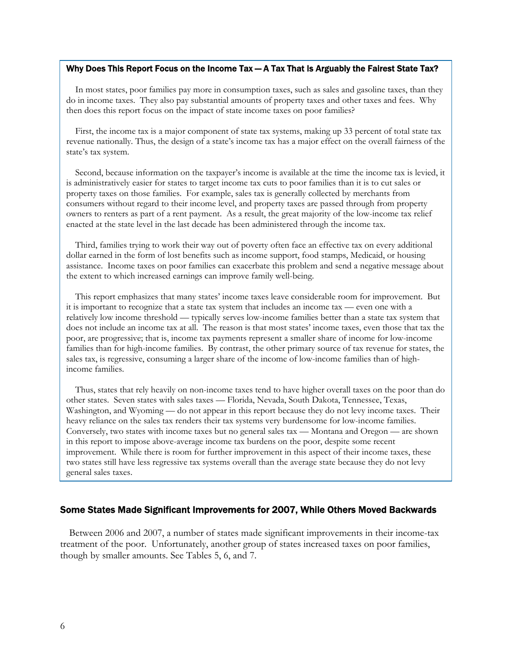#### Why Does This Report Focus on the Income Tax — A Tax That Is Arguably the Fairest State Tax?

In most states, poor families pay more in consumption taxes, such as sales and gasoline taxes, than they do in income taxes. They also pay substantial amounts of property taxes and other taxes and fees. Why then does this report focus on the impact of state income taxes on poor families?

First, the income tax is a major component of state tax systems, making up 33 percent of total state tax revenue nationally. Thus, the design of a state's income tax has a major effect on the overall fairness of the state's tax system.

Second, because information on the taxpayer's income is available at the time the income tax is levied, it is administratively easier for states to target income tax cuts to poor families than it is to cut sales or property taxes on those families. For example, sales tax is generally collected by merchants from consumers without regard to their income level, and property taxes are passed through from property owners to renters as part of a rent payment. As a result, the great majority of the low-income tax relief enacted at the state level in the last decade has been administered through the income tax.

Third, families trying to work their way out of poverty often face an effective tax on every additional dollar earned in the form of lost benefits such as income support, food stamps, Medicaid, or housing assistance. Income taxes on poor families can exacerbate this problem and send a negative message about the extent to which increased earnings can improve family well-being.

This report emphasizes that many states' income taxes leave considerable room for improvement. But it is important to recognize that a state tax system that includes an income tax — even one with a relatively low income threshold — typically serves low-income families better than a state tax system that does not include an income tax at all. The reason is that most states' income taxes, even those that tax the poor, are progressive; that is, income tax payments represent a smaller share of income for low-income families than for high-income families. By contrast, the other primary source of tax revenue for states, the sales tax, is regressive, consuming a larger share of the income of low-income families than of highincome families.

Thus, states that rely heavily on non-income taxes tend to have higher overall taxes on the poor than do other states. Seven states with sales taxes — Florida, Nevada, South Dakota, Tennessee, Texas, Washington, and Wyoming — do not appear in this report because they do not levy income taxes. Their heavy reliance on the sales tax renders their tax systems very burdensome for low-income families. Conversely, two states with income taxes but no general sales tax — Montana and Oregon — are shown in this report to impose above-average income tax burdens on the poor, despite some recent improvement. While there is room for further improvement in this aspect of their income taxes, these two states still have less regressive tax systems overall than the average state because they do not levy general sales taxes.

#### Some States Made Significant Improvements for 2007, While Others Moved Backwards

Between 2006 and 2007, a number of states made significant improvements in their income-tax treatment of the poor. Unfortunately, another group of states increased taxes on poor families, though by smaller amounts. See Tables 5, 6, and 7.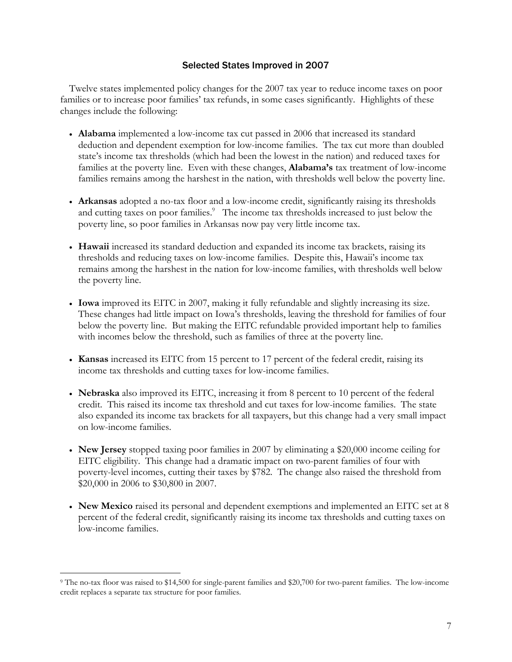### Selected States Improved in 2007

Twelve states implemented policy changes for the 2007 tax year to reduce income taxes on poor families or to increase poor families' tax refunds, in some cases significantly. Highlights of these changes include the following:

- **Alabama** implemented a low-income tax cut passed in 2006 that increased its standard deduction and dependent exemption for low-income families. The tax cut more than doubled state's income tax thresholds (which had been the lowest in the nation) and reduced taxes for families at the poverty line. Even with these changes, **Alabama's** tax treatment of low-income families remains among the harshest in the nation, with thresholds well below the poverty line.
- **Arkansas** adopted a no-tax floor and a low-income credit, significantly raising its thresholds and cutting taxes on poor families.<sup>9</sup> The income tax thresholds increased to just below the poverty line, so poor families in Arkansas now pay very little income tax.
- **Hawaii** increased its standard deduction and expanded its income tax brackets, raising its thresholds and reducing taxes on low-income families. Despite this, Hawaii's income tax remains among the harshest in the nation for low-income families, with thresholds well below the poverty line.
- **Iowa** improved its EITC in 2007, making it fully refundable and slightly increasing its size. These changes had little impact on Iowa's thresholds, leaving the threshold for families of four below the poverty line. But making the EITC refundable provided important help to families with incomes below the threshold, such as families of three at the poverty line.
- **Kansas** increased its EITC from 15 percent to 17 percent of the federal credit, raising its income tax thresholds and cutting taxes for low-income families.
- **Nebraska** also improved its EITC, increasing it from 8 percent to 10 percent of the federal credit. This raised its income tax threshold and cut taxes for low-income families. The state also expanded its income tax brackets for all taxpayers, but this change had a very small impact on low-income families.
- **New Jersey** stopped taxing poor families in 2007 by eliminating a \$20,000 income ceiling for EITC eligibility. This change had a dramatic impact on two-parent families of four with poverty-level incomes, cutting their taxes by \$782. The change also raised the threshold from \$20,000 in 2006 to \$30,800 in 2007.
- **New Mexico** raised its personal and dependent exemptions and implemented an EITC set at 8 percent of the federal credit, significantly raising its income tax thresholds and cutting taxes on low-income families.

 $\overline{a}$ 

<sup>9</sup> The no-tax floor was raised to \$14,500 for single-parent families and \$20,700 for two-parent families. The low-income credit replaces a separate tax structure for poor families.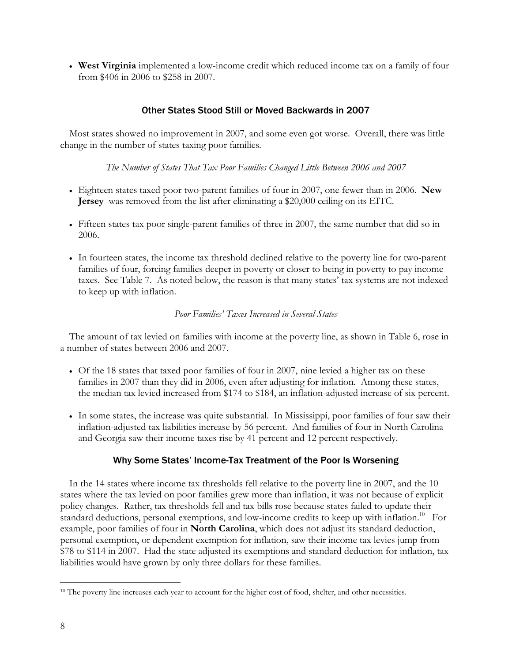• **West Virginia** implemented a low-income credit which reduced income tax on a family of four from \$406 in 2006 to \$258 in 2007.

### Other States Stood Still or Moved Backwards in 2007

Most states showed no improvement in 2007, and some even got worse. Overall, there was little change in the number of states taxing poor families.

#### *The Number of States That Tax Poor Families Changed Little Between 2006 and 2007*

- Eighteen states taxed poor two-parent families of four in 2007, one fewer than in 2006. **New Jersey** was removed from the list after eliminating a \$20,000 ceiling on its EITC.
- Fifteen states tax poor single-parent families of three in 2007, the same number that did so in 2006.
- In fourteen states, the income tax threshold declined relative to the poverty line for two-parent families of four, forcing families deeper in poverty or closer to being in poverty to pay income taxes. See Table 7. As noted below, the reason is that many states' tax systems are not indexed to keep up with inflation.

### *Poor Families' Taxes Increased in Several States*

The amount of tax levied on families with income at the poverty line, as shown in Table 6, rose in a number of states between 2006 and 2007.

- Of the 18 states that taxed poor families of four in 2007, nine levied a higher tax on these families in 2007 than they did in 2006, even after adjusting for inflation. Among these states, the median tax levied increased from \$174 to \$184, an inflation-adjusted increase of six percent.
- In some states, the increase was quite substantial. In Mississippi, poor families of four saw their inflation-adjusted tax liabilities increase by 56 percent. And families of four in North Carolina and Georgia saw their income taxes rise by 41 percent and 12 percent respectively.

### Why Some States' Income-Tax Treatment of the Poor Is Worsening

In the 14 states where income tax thresholds fell relative to the poverty line in 2007, and the 10 states where the tax levied on poor families grew more than inflation, it was not because of explicit policy changes. Rather, tax thresholds fell and tax bills rose because states failed to update their standard deductions, personal exemptions, and low-income credits to keep up with inflation.<sup>10</sup> For example, poor families of four in **North Carolina**, which does not adjust its standard deduction, personal exemption, or dependent exemption for inflation, saw their income tax levies jump from \$78 to \$114 in 2007. Had the state adjusted its exemptions and standard deduction for inflation, tax liabilities would have grown by only three dollars for these families.

 $\overline{a}$ <sup>10</sup> The poverty line increases each year to account for the higher cost of food, shelter, and other necessities.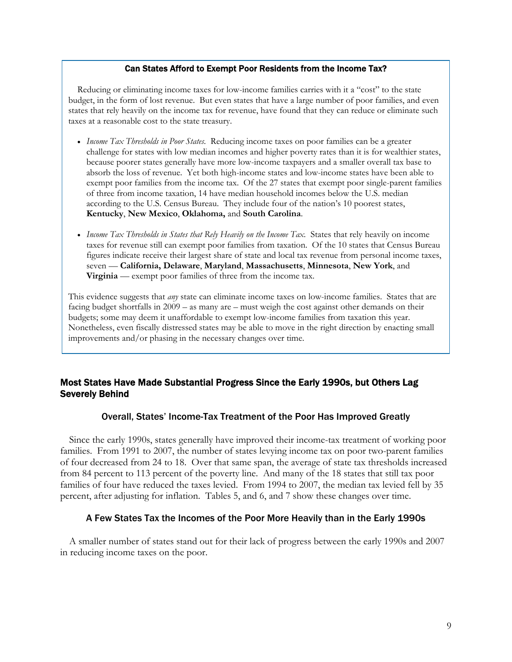#### Can States Afford to Exempt Poor Residents from the Income Tax?

Reducing or eliminating income taxes for low-income families carries with it a "cost" to the state budget, in the form of lost revenue. But even states that have a large number of poor families, and even states that rely heavily on the income tax for revenue, have found that they can reduce or eliminate such taxes at a reasonable cost to the state treasury.

- *Income Tax Thresholds in Poor States.* Reducing income taxes on poor families can be a greater challenge for states with low median incomes and higher poverty rates than it is for wealthier states, because poorer states generally have more low-income taxpayers and a smaller overall tax base to absorb the loss of revenue. Yet both high-income states and low-income states have been able to exempt poor families from the income tax. Of the 27 states that exempt poor single-parent families of three from income taxation, 14 have median household incomes below the U.S. median according to the U.S. Census Bureau. They include four of the nation's 10 poorest states, **Kentucky**, **New Mexico**, **Oklahoma,** and **South Carolina**.
- *Income Tax Thresholds in States that Rely Heavily on the Income Tax.* States that rely heavily on income taxes for revenue still can exempt poor families from taxation. Of the 10 states that Census Bureau figures indicate receive their largest share of state and local tax revenue from personal income taxes, seven — **California, Delaware**, **Maryland**, **Massachusetts**, **Minnesota**, **New York**, and **Virginia** — exempt poor families of three from the income tax.

This evidence suggests that *any* state can eliminate income taxes on low-income families. States that are facing budget shortfalls in 2009 – as many are – must weigh the cost against other demands on their budgets; some may deem it unaffordable to exempt low-income families from taxation this year. Nonetheless, even fiscally distressed states may be able to move in the right direction by enacting small improvements and/or phasing in the necessary changes over time.

### Most States Have Made Substantial Progress Since the Early 1990s, but Others Lag Severely Behind

### Overall, States' Income-Tax Treatment of the Poor Has Improved Greatly

Since the early 1990s, states generally have improved their income-tax treatment of working poor families. From 1991 to 2007, the number of states levying income tax on poor two-parent families of four decreased from 24 to 18. Over that same span, the average of state tax thresholds increased from 84 percent to 113 percent of the poverty line. And many of the 18 states that still tax poor families of four have reduced the taxes levied. From 1994 to 2007, the median tax levied fell by 35 percent, after adjusting for inflation. Tables 5, and 6, and 7 show these changes over time.

#### A Few States Tax the Incomes of the Poor More Heavily than in the Early 1990s

A smaller number of states stand out for their lack of progress between the early 1990s and 2007 in reducing income taxes on the poor.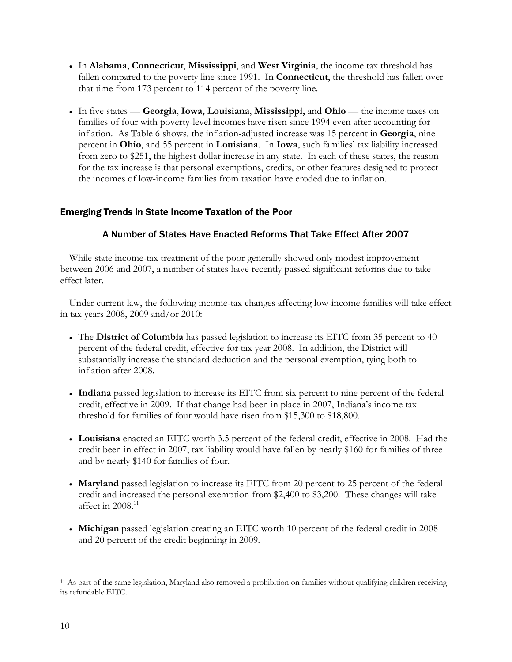- In **Alabama**, **Connecticut**, **Mississippi**, and **West Virginia**, the income tax threshold has fallen compared to the poverty line since 1991. In **Connecticut**, the threshold has fallen over that time from 173 percent to 114 percent of the poverty line.
- In five states **Georgia**, **Iowa, Louisiana**, **Mississippi,** and **Ohio** the income taxes on families of four with poverty-level incomes have risen since 1994 even after accounting for inflation. As Table 6 shows, the inflation-adjusted increase was 15 percent in **Georgia**, nine percent in **Ohio**, and 55 percent in **Louisiana**. In **Iowa**, such families' tax liability increased from zero to \$251, the highest dollar increase in any state. In each of these states, the reason for the tax increase is that personal exemptions, credits, or other features designed to protect the incomes of low-income families from taxation have eroded due to inflation.

### Emerging Trends in State Income Taxation of the Poor

### A Number of States Have Enacted Reforms That Take Effect After 2007

While state income-tax treatment of the poor generally showed only modest improvement between 2006 and 2007, a number of states have recently passed significant reforms due to take effect later.

Under current law, the following income-tax changes affecting low-income families will take effect in tax years 2008, 2009 and/or 2010:

- The **District of Columbia** has passed legislation to increase its EITC from 35 percent to 40 percent of the federal credit, effective for tax year 2008. In addition, the District will substantially increase the standard deduction and the personal exemption, tying both to inflation after 2008.
- **Indiana** passed legislation to increase its EITC from six percent to nine percent of the federal credit, effective in 2009. If that change had been in place in 2007, Indiana's income tax threshold for families of four would have risen from \$15,300 to \$18,800.
- **Louisiana** enacted an EITC worth 3.5 percent of the federal credit, effective in 2008. Had the credit been in effect in 2007, tax liability would have fallen by nearly \$160 for families of three and by nearly \$140 for families of four.
- **Maryland** passed legislation to increase its EITC from 20 percent to 25 percent of the federal credit and increased the personal exemption from \$2,400 to \$3,200. These changes will take affect in  $2008$ .<sup>11</sup>
- **Michigan** passed legislation creating an EITC worth 10 percent of the federal credit in 2008 and 20 percent of the credit beginning in 2009.

 $\overline{a}$ 11 As part of the same legislation, Maryland also removed a prohibition on families without qualifying children receiving its refundable EITC.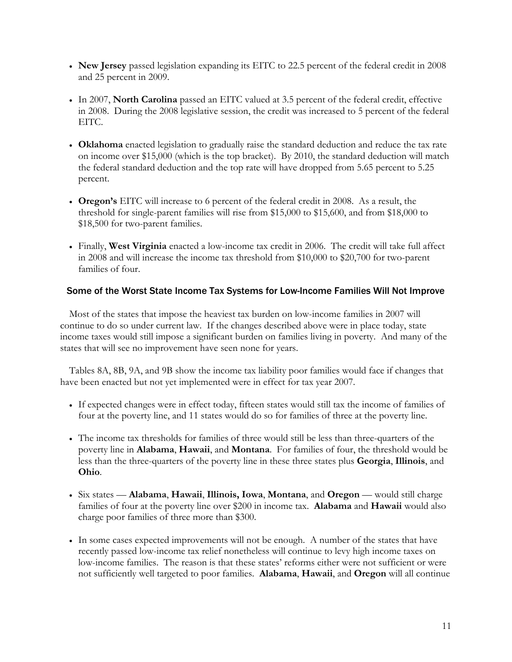- **New Jersey** passed legislation expanding its EITC to 22.5 percent of the federal credit in 2008 and 25 percent in 2009.
- In 2007, **North Carolina** passed an EITC valued at 3.5 percent of the federal credit, effective in 2008. During the 2008 legislative session, the credit was increased to 5 percent of the federal EITC.
- **Oklahoma** enacted legislation to gradually raise the standard deduction and reduce the tax rate on income over \$15,000 (which is the top bracket). By 2010, the standard deduction will match the federal standard deduction and the top rate will have dropped from 5.65 percent to 5.25 percent.
- **Oregon's** EITC will increase to 6 percent of the federal credit in 2008.As a result, the threshold for single-parent families will rise from \$15,000 to \$15,600, and from \$18,000 to \$18,500 for two-parent families.
- Finally, **West Virginia** enacted a low-income tax credit in 2006. The credit will take full affect in 2008 and will increase the income tax threshold from \$10,000 to \$20,700 for two-parent families of four.

### Some of the Worst State Income Tax Systems for Low-Income Families Will Not Improve

Most of the states that impose the heaviest tax burden on low-income families in 2007 will continue to do so under current law. If the changes described above were in place today, state income taxes would still impose a significant burden on families living in poverty. And many of the states that will see no improvement have seen none for years.

Tables 8A, 8B, 9A, and 9B show the income tax liability poor families would face if changes that have been enacted but not yet implemented were in effect for tax year 2007.

- If expected changes were in effect today, fifteen states would still tax the income of families of four at the poverty line, and 11 states would do so for families of three at the poverty line.
- The income tax thresholds for families of three would still be less than three-quarters of the poverty line in **Alabama**, **Hawaii**, and **Montana**. For families of four, the threshold would be less than the three-quarters of the poverty line in these three states plus **Georgia**, **Illinois**, and **Ohio**.
- Six states **Alabama**, **Hawaii**, **Illinois, Iowa**, **Montana**, and **Oregon**  would still charge families of four at the poverty line over \$200 in income tax. **Alabama** and **Hawaii** would also charge poor families of three more than \$300.
- In some cases expected improvements will not be enough. A number of the states that have recently passed low-income tax relief nonetheless will continue to levy high income taxes on low-income families. The reason is that these states' reforms either were not sufficient or were not sufficiently well targeted to poor families. **Alabama**, **Hawaii**, and **Oregon** will all continue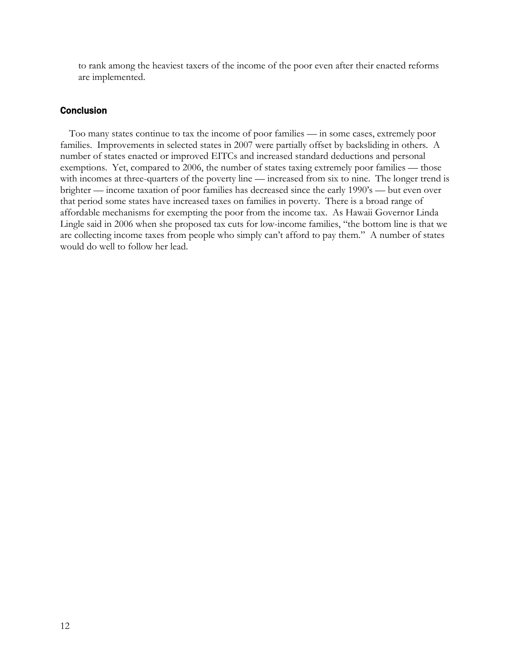to rank among the heaviest taxers of the income of the poor even after their enacted reforms are implemented.

### **Conclusion**

Too many states continue to tax the income of poor families — in some cases, extremely poor families. Improvements in selected states in 2007 were partially offset by backsliding in others. A number of states enacted or improved EITCs and increased standard deductions and personal exemptions. Yet, compared to 2006, the number of states taxing extremely poor families — those with incomes at three-quarters of the poverty line — increased from six to nine. The longer trend is brighter — income taxation of poor families has decreased since the early 1990's — but even over that period some states have increased taxes on families in poverty. There is a broad range of affordable mechanisms for exempting the poor from the income tax. As Hawaii Governor Linda Lingle said in 2006 when she proposed tax cuts for low-income families, "the bottom line is that we are collecting income taxes from people who simply can't afford to pay them." A number of states would do well to follow her lead.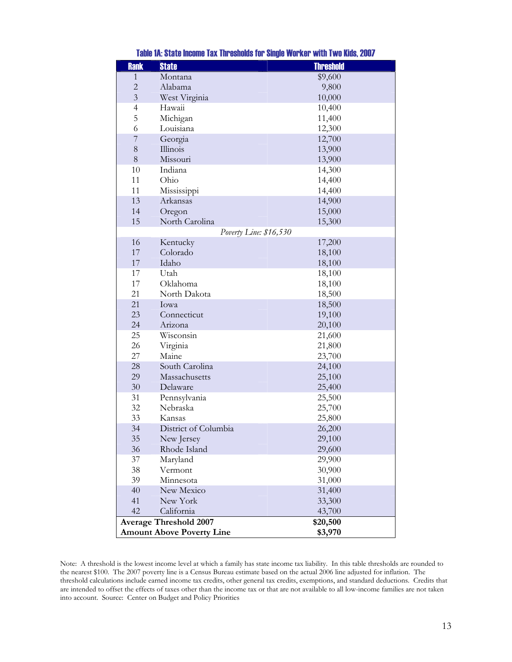| <b>Rank</b>    | <b>State</b>                     | <b>Threshold</b> |  |
|----------------|----------------------------------|------------------|--|
| 1              | Montana                          | \$9,600          |  |
| $\overline{c}$ | Alabama                          | 9,800            |  |
| $\overline{3}$ | West Virginia                    | 10,000           |  |
| $\overline{4}$ | Hawaii                           | 10,400           |  |
| 5              | Michigan                         | 11,400           |  |
| 6              | Louisiana                        | 12,300           |  |
| 7              | Georgia                          | 12,700           |  |
| 8              | Illinois                         | 13,900           |  |
| 8              | Missouri                         | 13,900           |  |
| 10             | Indiana                          | 14,300           |  |
| 11             | Ohio                             | 14,400           |  |
| 11             | Mississippi                      | 14,400           |  |
| 13             | Arkansas                         | 14,900           |  |
| 14             | Oregon                           | 15,000           |  |
| 15             | North Carolina                   | 15,300           |  |
|                | Poverty Line: \$16,530           |                  |  |
| 16             | Kentucky                         | 17,200           |  |
| 17             | Colorado                         | 18,100           |  |
| 17             | Idaho                            | 18,100           |  |
| 17             | Utah                             | 18,100           |  |
| 17             | Oklahoma                         | 18,100           |  |
| 21             | North Dakota                     | 18,500           |  |
| 21             | Iowa                             | 18,500           |  |
| 23             | Connecticut                      | 19,100           |  |
| 24             | Arizona                          | 20,100           |  |
| 25             | <b>Wisconsin</b>                 | 21,600           |  |
| 26             | Virginia                         | 21,800           |  |
| 27             | Maine                            | 23,700           |  |
| 28             | South Carolina                   | 24,100           |  |
| 29             | Massachusetts                    | 25,100           |  |
| 30             | Delaware                         | 25,400           |  |
| 31             | Pennsylvania                     | 25,500           |  |
| 32             | Nebraska                         | 25,700           |  |
| 33             | Kansas                           | 25,800           |  |
| 34             | District of Columbia             | 26,200           |  |
| 35             | New Jersey                       | 29,100           |  |
| 36             | Rhode Island                     | 29,600           |  |
| 37             | Maryland                         | 29,900           |  |
| 38             | Vermont                          | 30,900           |  |
| 39             | Minnesota                        | 31,000           |  |
| 40             | New Mexico                       | 31,400           |  |
| 41             | New York                         | 33,300           |  |
| 42             | California                       | 43,700           |  |
|                | <b>Average Threshold 2007</b>    | \$20,500         |  |
|                | <b>Amount Above Poverty Line</b> | \$3,970          |  |

Table 1A: State Income Tax Thresholds for Single Worker with Two Kids, 2007

Note: A threshold is the lowest income level at which a family has state income tax liability. In this table thresholds are rounded to the nearest \$100. The 2007 poverty line is a Census Bureau estimate based on the actual 2006 line adjusted for inflation. The threshold calculations include earned income tax credits, other general tax credits, exemptions, and standard deductions. Credits that are intended to offset the effects of taxes other than the income tax or that are not available to all low-income families are not taken into account. Source: Center on Budget and Policy Priorities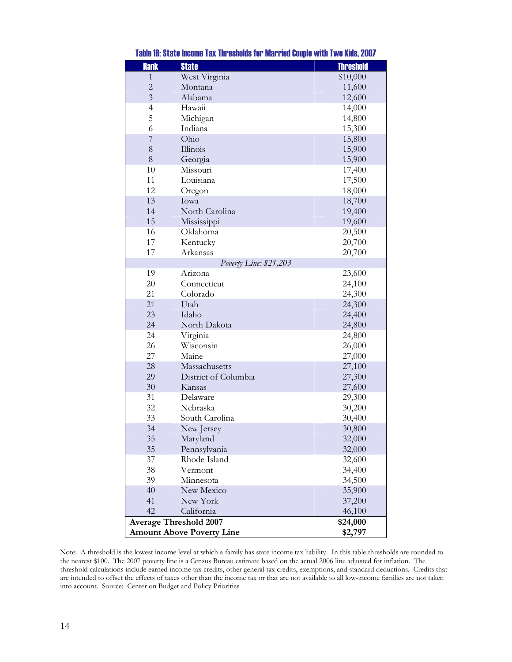| <b>Rank</b>    | <b>State</b>                     | <b>Threshold</b> |
|----------------|----------------------------------|------------------|
| 1              | West Virginia                    | \$10,000         |
| $\overline{2}$ | Montana                          | 11,600           |
| $\overline{3}$ | Alabama                          | 12,600           |
| $\overline{4}$ | Hawaii                           | 14,000           |
| 5              | Michigan                         | 14,800           |
| 6              | Indiana                          | 15,300           |
| 7              | Ohio                             | 15,800           |
| 8              | Illinois                         | 15,900           |
| 8              | Georgia                          | 15,900           |
| 10             | Missouri                         | 17,400           |
| 11             | Louisiana                        | 17,500           |
| 12             | Oregon                           | 18,000           |
| 13             | Iowa                             | 18,700           |
| 14             | North Carolina                   | 19,400           |
| 15             | Mississippi                      | 19,600           |
| 16             | Oklahoma                         | 20,500           |
| 17             | Kentucky                         | 20,700           |
| 17             | Arkansas                         | 20,700           |
|                | Poverty Line: \$21,203           |                  |
| 19             | Arizona                          | 23,600           |
| 20             | Connecticut                      | 24,100           |
| 21             | Colorado                         | 24,300           |
| 21             | Utah                             | 24,300           |
| 23             | Idaho                            | 24,400           |
| 24             | North Dakota                     | 24,800           |
| 24             | Virginia                         | 24,800           |
| 26             | Wisconsin                        | 26,000           |
| 27             | Maine                            | 27,000           |
| 28             | Massachusetts                    | 27,100           |
| 29             | District of Columbia             | 27,300           |
| 30             | Kansas                           | 27,600           |
| 31             | Delaware                         | 29,300           |
| 32             | Nebraska                         | 30,200           |
| 33             | South Carolina                   | 30,400           |
| 34             | New Jersey                       | 30,800           |
| 35             | Maryland                         | 32,000           |
| 35             | Pennsylvania                     | 32,000           |
| 37             | Rhode Island                     | 32,600           |
| 38             | Vermont                          | 34,400           |
| 39             | Minnesota                        | 34,500           |
| 40             | New Mexico                       | 35,900           |
| 41             | New York                         | 37,200           |
| 42             | California                       | 46,100           |
|                | <b>Average Threshold 2007</b>    | \$24,000         |
|                | <b>Amount Above Poverty Line</b> | \$2,797          |

Table 1B: State Income Tax Thresholds for Married Couple with Two Kids, 2007

Note: A threshold is the lowest income level at which a family has state income tax liability. In this table thresholds are rounded to the nearest \$100. The 2007 poverty line is a Census Bureau estimate based on the actual 2006 line adjusted for inflation. The threshold calculations include earned income tax credits, other general tax credits, exemptions, and standard deductions. Credits that are intended to offset the effects of taxes other than the income tax or that are not available to all low-income families are not taken into account. Source: Center on Budget and Policy Priorities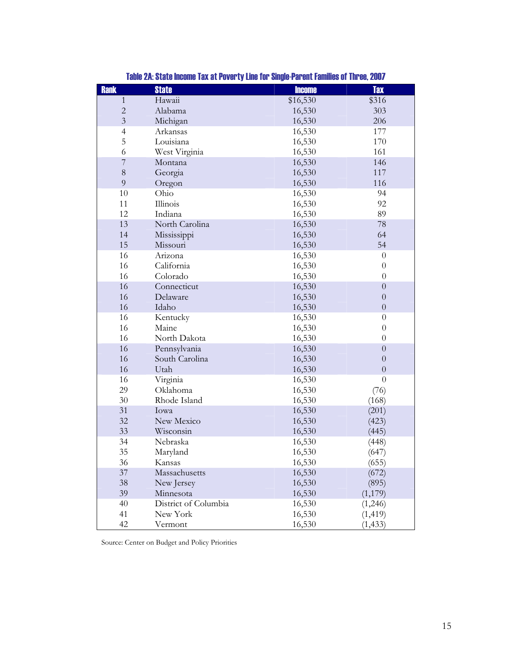| <b>Rank</b>    | <b>State</b>         | <b>Income</b> | <b>Tax</b>       |
|----------------|----------------------|---------------|------------------|
| $\mathbf{1}$   | Hawaii               | \$16,530      | \$316            |
| $\sqrt{2}$     | Alabama              | 16,530        | 303              |
| $\overline{3}$ | Michigan             | 16,530        | 206              |
| $\overline{4}$ | Arkansas             | 16,530        | 177              |
| 5              | Louisiana            | 16,530        | 170              |
| 6              | West Virginia        | 16,530        | 161              |
| $\overline{7}$ | Montana              | 16,530        | 146              |
| 8              | Georgia              | 16,530        | 117              |
| 9              | Oregon               | 16,530        | 116              |
| $10\,$         | Ohio                 | 16,530        | 94               |
| 11             | Illinois             | 16,530        | 92               |
| 12             | Indiana              | 16,530        | 89               |
| 13             | North Carolina       | 16,530        | 78               |
| 14             | Mississippi          | 16,530        | 64               |
| 15             | Missouri             | 16,530        | 54               |
| 16             | Arizona              | 16,530        | $\theta$         |
| 16             | California           | 16,530        | $\theta$         |
| 16             | Colorado             | 16,530        | $\theta$         |
| 16             | Connecticut          | 16,530        | $\overline{0}$   |
| 16             | Delaware             | 16,530        | $\overline{0}$   |
| 16             | Idaho                | 16,530        | $\theta$         |
| 16             | Kentucky             | 16,530        | $\theta$         |
| 16             | Maine                | 16,530        | $\theta$         |
| 16             | North Dakota         | 16,530        | $\theta$         |
| 16             | Pennsylvania         | 16,530        | $\boldsymbol{0}$ |
| 16             | South Carolina       | 16,530        | $\theta$         |
| 16             | Utah                 | 16,530        | $\theta$         |
| 16             | Virginia             | 16,530        | $\theta$         |
| 29             | Oklahoma             | 16,530        | (76)             |
| $30\,$         | Rhode Island         | 16,530        | (168)            |
| 31             | Iowa                 | 16,530        | (201)            |
| 32             | New Mexico           | 16,530        | (423)            |
| 33             | Wisconsin            | 16,530        | (445)            |
| 34             | Nebraska             | 16,530        | (448)            |
| 35             | Maryland             | 16,530        | (647)            |
| 36             | Kansas               | 16,530        | (655)            |
| 37             | Massachusetts        | 16,530        | (672)            |
| 38             | New Jersey           | 16,530        | (895)            |
| 39             | Minnesota            | 16,530        | (1,179)          |
| 40             | District of Columbia | 16,530        | (1,246)          |
| 41             | New York             | 16,530        | (1, 419)         |
| 42             | Vermont              | 16,530        | (1, 433)         |

Table 2A: State Income Tax at Poverty Line for Single-Parent Families of Three, 2007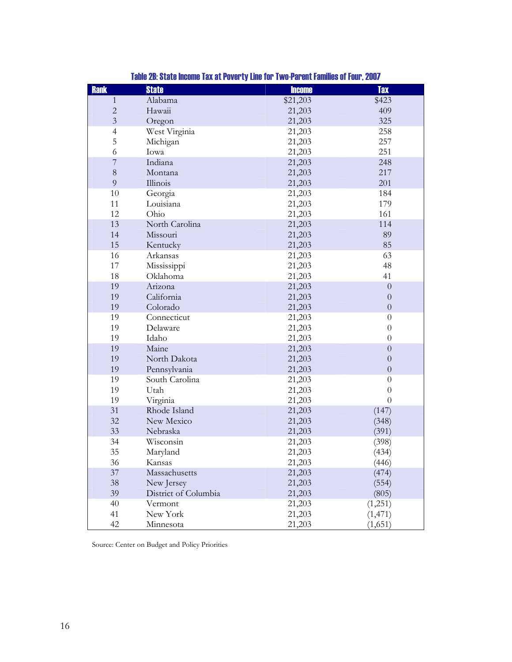| <b>Rank</b>    | <b>State</b>         | <b>Income</b> | <b>Tax</b>       |
|----------------|----------------------|---------------|------------------|
| $\mathbf{1}$   | Alabama              | \$21,203      | \$423            |
| $\overline{c}$ | Hawaii               | 21,203        | 409              |
| $\overline{3}$ | Oregon               | 21,203        | 325              |
| $\overline{4}$ | West Virginia        | 21,203        | 258              |
| 5              | Michigan             | 21,203        | 257              |
| 6              | Iowa                 | 21,203        | 251              |
| 7              | Indiana              | 21,203        | 248              |
| $\,$ $\,$      | Montana              | 21,203        | 217              |
| 9              | Illinois             | 21,203        | 201              |
| 10             | Georgia              | 21,203        | 184              |
| 11             | Louisiana            | 21,203        | 179              |
| 12             | Ohio                 | 21,203        | 161              |
| 13             | North Carolina       | 21,203        | 114              |
| 14             | Missouri             | 21,203        | 89               |
| 15             | Kentucky             | 21,203        | 85               |
| 16             | Arkansas             | 21,203        | 63               |
| 17             | Mississippi          | 21,203        | 48               |
| 18             | Oklahoma             | 21,203        | 41               |
| 19             | Arizona              | 21,203        | $\overline{0}$   |
| 19             | California           | 21,203        | $\overline{0}$   |
| 19             | Colorado             | 21,203        | $\boldsymbol{0}$ |
| 19             | Connecticut          | 21,203        | $\boldsymbol{0}$ |
| 19             | Delaware             | 21,203        | $\boldsymbol{0}$ |
| 19             | Idaho                | 21,203        | $\overline{0}$   |
| 19             | Maine                | 21,203        | $\boldsymbol{0}$ |
| 19             | North Dakota         | 21,203        | $\overline{0}$   |
| 19             | Pennsylvania         | 21,203        | $\overline{0}$   |
| 19             | South Carolina       | 21,203        | $\theta$         |
| 19             | Utah                 | 21,203        | $\boldsymbol{0}$ |
| 19             | Virginia             | 21,203        | $\overline{0}$   |
| 31             | Rhode Island         | 21,203        | (147)            |
| 32             | New Mexico           | 21,203        | (348)            |
| 33             | Nebraska             | 21,203        | (391)            |
| 34             | Wisconsin            | 21,203        | (398)            |
| 35             | Maryland             | 21,203        | (434)            |
| 36             | Kansas               | 21,203        | (446)            |
| 37             | Massachusetts        | 21,203        | (474)            |
| 38             | New Jersey           | 21,203        | (554)            |
| 39             | District of Columbia | 21,203        | (805)            |
| 40             | Vermont              | 21,203        | (1,251)          |
| 41             | New York             | 21,203        | (1, 471)         |
| 42             | Minnesota            | 21,203        | (1,651)          |

# Table 2B: State Income Tax at Poverty Line for Two-Parent Families of Four, 2007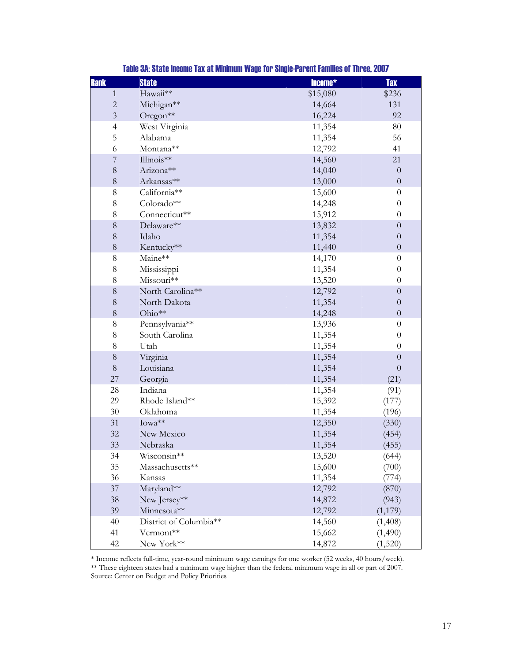| <b>Rank</b>    | <b>State</b>           | Income*  | <b>Tax</b>       |
|----------------|------------------------|----------|------------------|
| $\mathbf{1}$   | Hawaii**               | \$15,080 | \$236            |
| $\overline{c}$ | Michigan**             | 14,664   | 131              |
| $\overline{3}$ | Oregon <sup>**</sup>   | 16,224   | 92               |
| $\overline{4}$ | West Virginia          | 11,354   | $80\,$           |
| 5              | Alabama                | 11,354   | 56               |
| 6              | Montana**              | 12,792   | 41               |
| $\overline{7}$ | Illinois**             | 14,560   | 21               |
| $\,8\,$        | Arizona**              | 14,040   | $\theta$         |
| $\,8\,$        | Arkansas**             | 13,000   | $\boldsymbol{0}$ |
| $8\,$          | California**           | 15,600   | $\theta$         |
| $8\,$          | Colorado**             | 14,248   | $\theta$         |
| $\,$ 8 $\,$    | Connecticut**          | 15,912   | $\theta$         |
| 8              | Delaware**             | 13,832   | $\overline{0}$   |
| $\,$ $\,$      | Idaho                  | 11,354   | $\boldsymbol{0}$ |
| $\,8\,$        | Kentucky**             | 11,440   | $\boldsymbol{0}$ |
| $8\,$          | Maine**                | 14,170   | $\boldsymbol{0}$ |
| $\,$ 8 $\,$    | Mississippi            | 11,354   | $\theta$         |
| 8              | Missouri**             | 13,520   | $\boldsymbol{0}$ |
| $\,8\,$        | North Carolina**       | 12,792   | $\boldsymbol{0}$ |
| $8\,$          | North Dakota           | 11,354   | $\overline{0}$   |
| $\,8\,$        | Ohio**                 | 14,248   | $\overline{0}$   |
| $8\,$          | Pennsylvania**         | 13,936   | $\theta$         |
| $\,$ 8 $\,$    | South Carolina         | 11,354   | $\theta$         |
| $\,8\,$        | Utah                   | 11,354   | $\theta$         |
| $\,$ $\,$      | Virginia               | 11,354   | $\boldsymbol{0}$ |
| 8              | Louisiana              | 11,354   | $\overline{0}$   |
| 27             | Georgia                | 11,354   | (21)             |
| 28             | Indiana                | 11,354   | (91)             |
| 29             | Rhode Island**         | 15,392   | (177)            |
| 30             | Oklahoma               | 11,354   | (196)            |
| 31             | Iowa**                 | 12,350   | (330)            |
| 32             | New Mexico             | 11,354   | (454)            |
| 33             | Nebraska               | 11,354   | (455)            |
| 34             | Wisconsin**            | 13,520   | (644)            |
| 35             | Massachusetts**        | 15,600   | (700)            |
| 36             | Kansas                 | 11,354   | (774)            |
| $37\,$         | Maryland**             | 12,792   | (870)            |
| 38             | New Jersey**           | 14,872   | (943)            |
| 39             | Minnesota**            | 12,792   | (1,179)          |
| 40             | District of Columbia** | 14,560   | (1,408)          |
| 41             | Vermont**              | 15,662   | (1,490)          |
| 42             | New York**             | 14,872   | (1,520)          |

\* Income reflects full-time, year-round minimum wage earnings for one worker (52 weeks, 40 hours/week). \*\* These eighteen states had a minimum wage higher than the federal minimum wage in all or part of 2007. Source: Center on Budget and Policy Priorities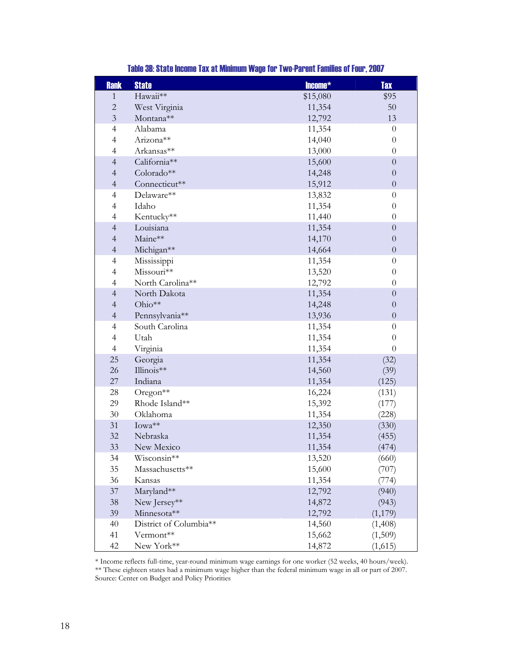| <b>Rank</b>              | <b>State</b>           | Income*  | <b>Tax</b>       |
|--------------------------|------------------------|----------|------------------|
| $\mathbf{1}$             | Hawaii**               | \$15,080 | \$95             |
| $\overline{c}$           | West Virginia          | 11,354   | 50               |
| $\mathfrak{Z}$           | Montana**              | 12,792   | 13               |
| $\overline{4}$           | Alabama                | 11,354   | $\theta$         |
| $\overline{4}$           | Arizona**              | 14,040   | $\boldsymbol{0}$ |
| 4                        | Arkansas**             | 13,000   | $\boldsymbol{0}$ |
| $\overline{4}$           | California**           | 15,600   | $\overline{0}$   |
| $\overline{\mathcal{A}}$ | Colorado**             | 14,248   | $\overline{0}$   |
| $\overline{\mathcal{A}}$ | Connecticut**          | 15,912   | $\boldsymbol{0}$ |
| $\overline{4}$           | Delaware**             | 13,832   | $\boldsymbol{0}$ |
| 4                        | Idaho                  | 11,354   | $\boldsymbol{0}$ |
| 4                        | Kentucky**             | 11,440   | $\boldsymbol{0}$ |
| $\overline{4}$           | Louisiana              | 11,354   | $\overline{0}$   |
| $\overline{4}$           | Maine**                | 14,170   | $\overline{0}$   |
| $\overline{4}$           | Michigan**             | 14,664   | $\overline{0}$   |
| $\overline{4}$           | Mississippi            | 11,354   | $\boldsymbol{0}$ |
| $\overline{4}$           | Missouri**             | 13,520   | $\theta$         |
| $\overline{4}$           | North Carolina**       | 12,792   | $\overline{0}$   |
| $\overline{4}$           | North Dakota           | 11,354   | $\boldsymbol{0}$ |
| $\overline{\mathcal{L}}$ | Ohio**                 | 14,248   | $\overline{0}$   |
| $\overline{4}$           | Pennsylvania**         | 13,936   | $\overline{0}$   |
| $\overline{4}$           | South Carolina         | 11,354   | $\theta$         |
| $\overline{4}$           | Utah                   | 11,354   | $\boldsymbol{0}$ |
| $\overline{4}$           | Virginia               | 11,354   | $\overline{0}$   |
| 25                       | Georgia                | 11,354   | (32)             |
| 26                       | Illinois**             | 14,560   | (39)             |
| 27                       | Indiana                | 11,354   | (125)            |
| 28                       | Oregon <sup>**</sup>   | 16,224   | (131)            |
| 29                       | Rhode Island**         | 15,392   | (177)            |
| 30                       | Oklahoma               | 11,354   | (228)            |
| 31                       | Iowa**                 | 12,350   | (330)            |
| 32                       | Nebraska               | 11,354   | (455)            |
| 33                       | New Mexico             | 11,354   | (474)            |
| 34                       | Wisconsin**            | 13,520   | (660)            |
| 35                       | Massachusetts**        | 15,600   | (707)            |
| 36                       | Kansas                 | 11,354   | (774)            |
| 37                       | Maryland**             | 12,792   | (940)            |
| 38                       | New Jersey**           | 14,872   | (943)            |
| 39                       | Minnesota**            | 12,792   | (1,179)          |
| 40                       | District of Columbia** | 14,560   | (1,408)          |
| 41                       | Vermont**              | 15,662   | (1,509)          |
| 42                       | New York**             | 14,872   | (1,615)          |

# Table 3B: State Income Tax at Minimum Wage for Two-Parent Families of Four, 2007

\* Income reflects full-time, year-round minimum wage earnings for one worker (52 weeks, 40 hours/week). \*\* These eighteen states had a minimum wage higher than the federal minimum wage in all or part of 2007. Source: Center on Budget and Policy Priorities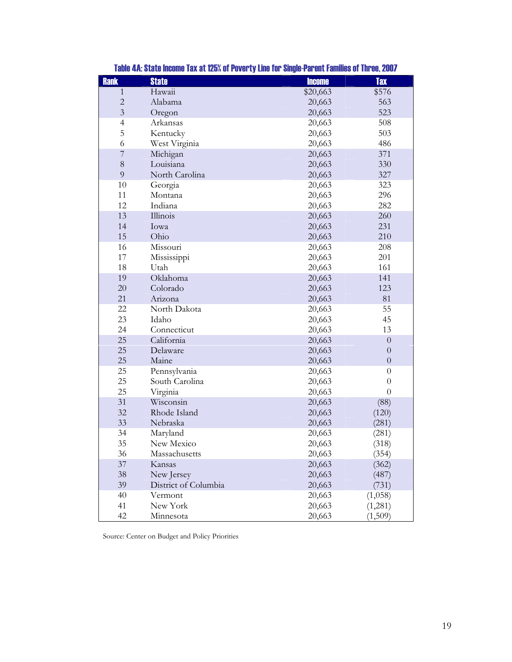| <b>Rank</b>    | <b>State</b>         | <b>Income</b> | <b>Tax</b>       |
|----------------|----------------------|---------------|------------------|
| $\mathbf{1}$   | Hawaii               | \$20,663      | \$576            |
| $\overline{c}$ | Alabama              | 20,663        | 563              |
| $\overline{3}$ | Oregon               | 20,663        | 523              |
| $\overline{4}$ | Arkansas             | 20,663        | 508              |
| 5              | Kentucky             | 20,663        | 503              |
| 6              | West Virginia        | 20,663        | 486              |
| $\overline{7}$ | Michigan             | 20,663        | 371              |
| 8              | Louisiana            | 20,663        | 330              |
| 9              | North Carolina       | 20,663        | 327              |
| 10             | Georgia              | 20,663        | 323              |
| 11             | Montana              | 20,663        | 296              |
| 12             | Indiana              | 20,663        | 282              |
| 13             | Illinois             | 20,663        | 260              |
| 14             | Iowa                 | 20,663        | 231              |
| 15             | Ohio                 | 20,663        | 210              |
| 16             | Missouri             | 20,663        | 208              |
| 17             | Mississippi          | 20,663        | 201              |
| 18             | Utah                 | 20,663        | 161              |
| 19             | Oklahoma             | 20,663        | 141              |
| 20             | Colorado             | 20,663        | 123              |
| 21             | Arizona              | 20,663        | 81               |
| 22             | North Dakota         | 20,663        | 55               |
| 23             | Idaho                | 20,663        | 45               |
| 24             | Connecticut          | 20,663        | 13               |
| 25             | California           | 20,663        | $\boldsymbol{0}$ |
| 25             | Delaware             | 20,663        | $\theta$         |
| 25             | Maine                | 20,663        | $\boldsymbol{0}$ |
| 25             | Pennsylvania         | 20,663        | $\theta$         |
| 25             | South Carolina       | 20,663        | $\theta$         |
| 25             | Virginia             | 20,663        | $\overline{0}$   |
| 31             | Wisconsin            | 20,663        | (88)             |
| 32             | Rhode Island         | 20,663        | (120)            |
| 33             | Nebraska             | 20,663        | (281)            |
| 34             | Maryland             | 20,663        | (281)            |
| 35             | New Mexico           | 20,663        | (318)            |
| 36             | Massachusetts        | 20,663        | (354)            |
| 37             | Kansas               | 20,663        | (362)            |
| 38             | New Jersey           | 20,663        | (487)            |
| 39             | District of Columbia | 20,663        | (731)            |
| 40             | Vermont              | 20,663        | (1,058)          |
| 41             | New York             | 20,663        | (1,281)          |
| 42             | Minnesota            | 20,663        | (1,509)          |

Table 4A: State Income Tax at 125% of Poverty Line for Single-Parent Families of Three, 2007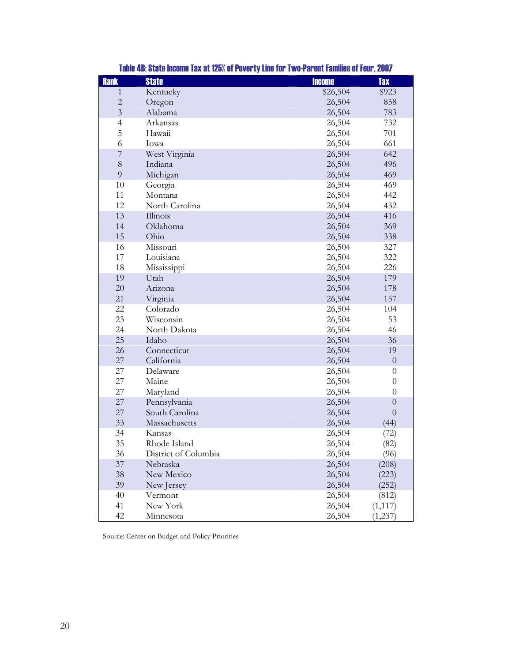| <b>Rank</b>    | <b>State</b>         | <b>Income</b> | <b>Tax</b>       |
|----------------|----------------------|---------------|------------------|
| 1              | Kentucky             | \$26,504      | \$923            |
| $\overline{c}$ | Oregon               | 26,504        | 858              |
| $\overline{3}$ | Alabama              | 26,504        | 783              |
| $\overline{4}$ | Arkansas             | 26,504        | 732              |
| 5              | Hawaii               | 26,504        | 701              |
| 6              | Iowa                 | 26,504        | 661              |
| $\overline{7}$ | West Virginia        | 26,504        | 642              |
| $8\,$          | Indiana              | 26,504        | 496              |
| 9              | Michigan             | 26,504        | 469              |
| 10             | Georgia              | 26,504        | 469              |
| 11             | Montana              | 26,504        | 442              |
| 12             | North Carolina       | 26,504        | 432              |
| 13             | Illinois             | 26,504        | 416              |
| 14             | Oklahoma             | 26,504        | 369              |
| 15             | Ohio                 | 26,504        | 338              |
| 16             | Missouri             | 26,504        | 327              |
| 17             | Louisiana            | 26,504        | 322              |
| 18             | Mississippi          | 26,504        | 226              |
| 19             | Utah                 | 26,504        | 179              |
| 20             | Arizona              | 26,504        | 178              |
| 21             | Virginia             | 26,504        | 157              |
| 22             | Colorado             | 26,504        | 104              |
| 23             | Wisconsin            | 26,504        | 53               |
| 24             | North Dakota         | 26,504        | 46               |
| 25             | Idaho                | 26,504        | 36               |
| 26             | Connecticut          | 26,504        | 19               |
| 27             | California           | 26,504        | $\boldsymbol{0}$ |
| 27             | Delaware             | 26,504        | $\theta$         |
| $27\,$         | Maine                | 26,504        | $\theta$         |
| 27             | Maryland             | 26,504        | $\theta$         |
| 27             | Pennsylvania         | 26,504        | $\overline{0}$   |
| 27             | South Carolina       | 26,504        | $\overline{0}$   |
| 33             | Massachusetts        | 26,504        | (44)             |
| 34             | Kansas               | 26,504        | (72)             |
| 35             | Rhode Island         | 26,504        | (82)             |
| 36             | District of Columbia | 26,504        | (96)             |
| 37             | Nebraska             | 26,504        | (208)            |
| 38             | New Mexico           | 26,504        | (223)            |
| 39             | New Jersey           | 26,504        | (252)            |
| 40             | Vermont              | 26,504        | (812)            |
| 41             | New York             | 26,504        | (1, 117)         |
| 42             | Minnesota            | 26,504        | (1, 237)         |

Table 4B: State Income Tax at 125% of Poverty Line for Two-Parent Families of Four, 2007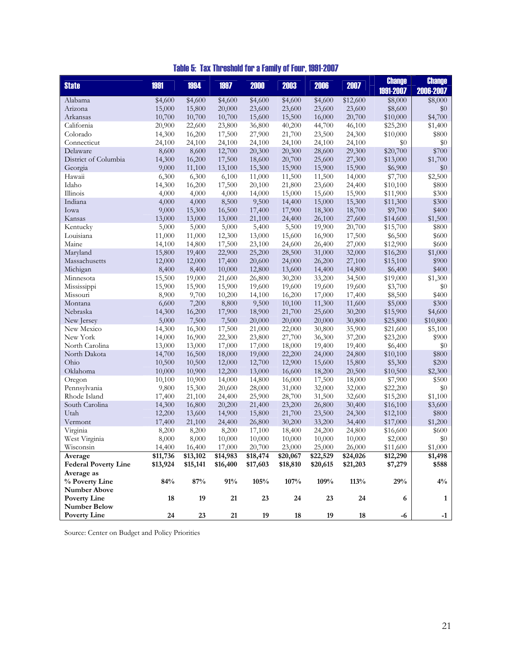| Table 5: Tax Threshold for a Family of Four, 1991-2007 |  |
|--------------------------------------------------------|--|
|--------------------------------------------------------|--|

| <b>State</b>                | 1991             | 1994             | 1997             | 2000             | 2003             | 2006             | 2007             | <b>Change</b>        | <b>Change</b>    |
|-----------------------------|------------------|------------------|------------------|------------------|------------------|------------------|------------------|----------------------|------------------|
|                             |                  |                  |                  |                  |                  |                  |                  | 1991-2007            | 2006-2007        |
| Alabama                     | \$4,600          | \$4,600          | \$4,600          | \$4,600          | \$4,600          | \$4,600          | \$12,600         | \$8,000              | \$8,000          |
| Arizona                     | 15,000           | 15,800           | 20,000           | 23,600           | 23,600           | 23,600           | 23,600           | \$8,600              | $\$0$<br>\$4,700 |
| Arkansas<br>California      | 10,700           | 10,700           | 10,700           | 15,600<br>36,800 | 15,500           | 16,000           | 20,700           | \$10,000             | \$1,400          |
| Colorado                    | 20,900<br>14,300 | 22,600<br>16,200 | 23,800<br>17,500 | 27,900           | 40,200<br>21,700 | 44,700<br>23,500 | 46,100<br>24,300 | \$25,200<br>\$10,000 | \$800            |
| Connecticut                 | 24,100           | 24,100           | 24,100           | 24,100           | 24,100           | 24,100           | 24,100           | \$0                  | \$0              |
| Delaware                    | 8,600            | 8,600            | 12,700           | 20,300           | 20,300           | 28,600           | 29,300           | \$20,700             | \$700            |
| District of Columbia        | 14,300           | 16,200           | 17,500           | 18,600           | 20,700           | 25,600           | 27,300           | \$13,000             | \$1,700          |
| Georgia                     | 9,000            | 11,100           | 13,100           | 15,300           | 15,900           | 15,900           | 15,900           | \$6,900              | \$0              |
| Hawaii                      | 6,300            | 6,300            | 6,100            | 11,000           | 11,500           | 11,500           | 14,000           | \$7,700              | \$2,500          |
| Idaho                       | 14,300           | 16,200           | 17,500           | 20,100           | 21,800           | 23,600           | 24,400           | \$10,100             | \$800            |
| Illinois                    | 4,000            | 4,000            | 4,000            | 14,000           | 15,000           | 15,600           | 15,900           | \$11,900             | \$300            |
| Indiana                     | 4,000            | 4,000            | 8,500            | 9,500            | 14,400           | 15,000           | 15,300           | \$11,300             | \$300            |
| Iowa                        | 9,000            | 15,300           | 16,500           | 17,400           | 17,900           | 18,300           | 18,700           | \$9,700              | \$400            |
| Kansas                      | 13,000           | 13,000           | 13,000           | 21,100           | 24,400           | 26,100           | 27,600           | \$14,600             | \$1,500          |
| Kentucky                    | 5,000            | 5,000            | 5,000            | 5,400            | 5,500            | 19,900           | 20,700           | \$15,700             | \$800            |
| Louisiana                   | 11,000           | 11,000           | 12,300           | 13,000           | 15,600           | 16,900           | 17,500           | \$6,500              | \$600            |
| Maine                       | 14,100           | 14,800           | 17,500           | 23,100           | 24,600           | 26,400           | 27,000           | \$12,900             | \$600            |
| Maryland                    | 15,800           | 19,400           | 22,900           | 25,200           | 28,500           | 31,000           | 32,000           | \$16,200             | \$1,000          |
| Massachusetts               | 12,000           | 12,000           | 17,400           | 20,600           | 24,000           | 26,200           | 27,100           | \$15,100             | \$900            |
| Michigan                    | 8,400            | 8,400            | 10,000           | 12,800           | 13,600           | 14,400           | 14,800           | \$6,400              | \$400            |
| Minnesota                   | 15,500           | 19,000           | 21,600           | 26,800           | 30,200           | 33,200           | 34,500           | \$19,000             | \$1,300          |
| Mississippi                 | 15,900           | 15,900           | 15,900           | 19,600           | 19,600           | 19,600           | 19,600           | \$3,700              | \$0              |
| Missouri                    | 8,900            | 9,700            | 10,200           | 14,100           | 16,200           | 17,000           | 17,400           | \$8,500              | \$400            |
| Montana                     | 6,600            | 7,200            | 8,800            | 9,500            | 10,100           | 11,300           | 11,600           | \$5,000              | \$300            |
| Nebraska                    | 14,300           | 16,200           | 17,900           | 18,900           | 21,700           | 25,600           | 30,200           | \$15,900             | \$4,600          |
| New Jersey                  | 5,000            | 7,500            | 7,500            | 20,000           | 20,000           | 20,000           | 30,800           | \$25,800             | \$10,800         |
| New Mexico                  | 14,300           | 16,300           | 17,500           | 21,000           | 22,000           | 30,800           | 35,900           | \$21,600             | \$5,100          |
| New York                    | 14,000           | 16,900           | 22,300           | 23,800           | 27,700           | 36,300           | 37,200           | \$23,200             | \$900            |
| North Carolina              | 13,000           | 13,000           | 17,000           | 17,000           | 18,000           | 19,400           | 19,400           | \$6,400              | \$0              |
| North Dakota                | 14,700           | 16,500           | 18,000           | 19,000           | 22,200           | 24,000           | 24,800           | \$10,100             | \$800            |
| Ohio                        | 10,500           | 10,500           | 12,000           | 12,700           | 12,900           | 15,600           | 15,800           | \$5,300              | \$200            |
| Oklahoma                    | 10,000           | 10,900           | 12,200           | 13,000           | 16,600           | 18,200           | 20,500           | \$10,500             | \$2,300          |
| Oregon                      | 10,100           | 10,900           | 14,000           | 14,800           | 16,000           | 17,500           | 18,000           | \$7,900              | \$500            |
| Pennsylvania                | 9,800            | 15,300           | 20,600           | 28,000           | 31,000           | 32,000           | 32,000           | \$22,200             | $\$0$            |
| Rhode Island                | 17,400           | 21,100           | 24,400           | 25,900           | 28,700           | 31,500           | 32,600           | \$15,200             | \$1,100          |
| South Carolina              | 14,300           | 16,800           | 20,200           | 21,400           | 23,200           | 26,800           | 30,400           | \$16,100             | \$3,600          |
| Utah                        | 12,200           | 13,600           | 14,900           | 15,800           | 21,700           | 23,500           | 24,300           | \$12,100             | \$800            |
| Vermont                     | 17,400           | 21,100           | 24,400           | 26,800           | 30,200           | 33,200           | 34,400           | \$17,000             | \$1,200          |
| Virginia                    | 8,200            | 8,200            | 8,200            | 17,100           | 18,400           | 24,200           | 24,800           | \$16,600             | \$600            |
| West Virginia               | 8,000            | 8,000            | 10,000           | 10,000           | 10,000           | 10,000           | 10,000           | \$2,000              | \$0              |
| Wisconsin                   | 14,400           | 16,400           | 17,000           | 20,700           | 23,000           | 25,000           | 26,000           | \$11,600             | \$1,000          |
| Average                     | \$11,736         | \$13,102         | \$14,983         | \$18,474         | \$20,067         | \$22,529         | \$24,026         | \$12,290             | \$1,498          |
| <b>Federal Poverty Line</b> | \$13,924         | \$15,141         | \$16,400         | \$17,603         | \$18,810         | \$20,615         | \$21,203         | \$7,279              | \$588            |
| Average as                  |                  |                  |                  |                  |                  |                  |                  |                      |                  |
| % Poverty Line              | 84%              | 87%              | 91%              | 105%             | 107%             | 109%             | 113%             | 29%                  | $4\%$            |
| <b>Number Above</b>         |                  |                  |                  |                  |                  |                  |                  |                      |                  |
| <b>Poverty Line</b>         | 18               | 19               | 21               | 23               | 24               | 23               | 24               | 6                    | $\mathbf{1}$     |
| <b>Number Below</b>         |                  |                  |                  |                  |                  |                  |                  |                      |                  |
| <b>Poverty Line</b>         | 24               | 23               | 21               | 19               | 18               | 19               | $18\,$           | $-6$                 | $-1$             |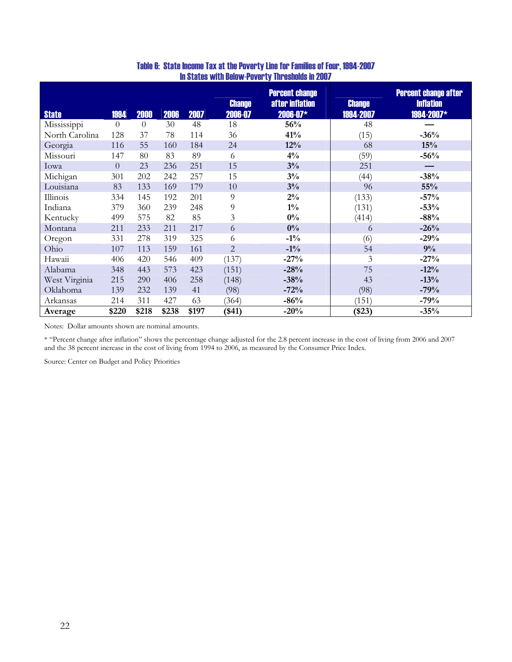| <b>State</b>   | 1994     | 2000           | 2006  | 2007  | <b>Change</b><br>2006-07 | <b>Percent change</b><br>after inflation<br>$2006 - 07*$ | <b>Change</b><br>1994-2007 | <b>Percent change after</b><br><b>Inflation</b><br>1994-2007* |
|----------------|----------|----------------|-------|-------|--------------------------|----------------------------------------------------------|----------------------------|---------------------------------------------------------------|
| Mississippi    | $\theta$ | $\overline{0}$ | 30    | 48    | 18                       | 56%                                                      | 48                         |                                                               |
| North Carolina | 128      | 37             | 78    | 114   | 36                       | 41%                                                      | (15)                       | $-36%$                                                        |
| Georgia        | 116      | 55             | 160   | 184   | 24                       | 12%                                                      | 68                         | 15%                                                           |
| Missouri       | 147      | 80             | 83    | 89    | 6                        | $4\%$                                                    | (59)                       | $-56%$                                                        |
| Iowa           | $\theta$ | 23             | 236   | 251   | 15                       | 3%                                                       | 251                        |                                                               |
| Michigan       | 301      | 202            | 242   | 257   | 15                       | 3%                                                       | (44)                       | $-38%$                                                        |
| Louisiana      | 83       | 133            | 169   | 179   | 10                       | 3%                                                       | 96                         | $55\%$                                                        |
| Illinois       | 334      | 145            | 192   | 201   | 9                        | $2\%$                                                    | (133)                      | $-57%$                                                        |
| Indiana        | 379      | 360            | 239   | 248   | 9                        | $1\%$                                                    | (131)                      | $-53%$                                                        |
| Kentucky       | 499      | 575            | 82    | 85    | 3                        | $0\%$                                                    | (414)                      | $-88%$                                                        |
| Montana        | 211      | 233            | 211   | 217   | 6                        | $0\%$                                                    | 6                          | $-26%$                                                        |
| Oregon         | 331      | 278            | 319   | 325   | 6                        | $-1\%$                                                   | (6)                        | $-29%$                                                        |
| Ohio           | 107      | 113            | 159   | 161   | $\overline{2}$           | $-1\%$                                                   | 54                         | 9%                                                            |
| Hawaii         | 406      | 420            | 546   | 409   | (137)                    | $-27%$                                                   | $\mathfrak{Z}$             | $-27%$                                                        |
| Alabama        | 348      | 443            | 573   | 423   | (151)                    | $-28%$                                                   | 75                         | $-12%$                                                        |
| West Virginia  | 215      | 290            | 406   | 258   | (148)                    | $-38%$                                                   | 43                         | $-13%$                                                        |
| Oklahoma       | 139      | 232            | 139   | 41    | (98)                     | $-72%$                                                   | (98)                       | $-79%$                                                        |
| Arkansas       | 214      | 311            | 427   | 63    | (364)                    | $-86%$                                                   | (151)                      | $-79%$                                                        |
| Average        | \$220    | \$218          | \$238 | \$197 | $(*41)$                  | $-20%$                                                   | $(\$23)$                   | $-35%$                                                        |

#### Table 6: State Income Tax at the Poverty Line for Families of Four, 1994-2007 In States with Below-Poverty Thresholds in 2007

Notes: Dollar amounts shown are nominal amounts.

\* "Percent change after inflation" shows the percentage change adjusted for the 2.8 percent increase in the cost of living from 2006 and 2007 and the 38 percent increase in the cost of living from 1994 to 2006, as measured by the Consumer Price Index.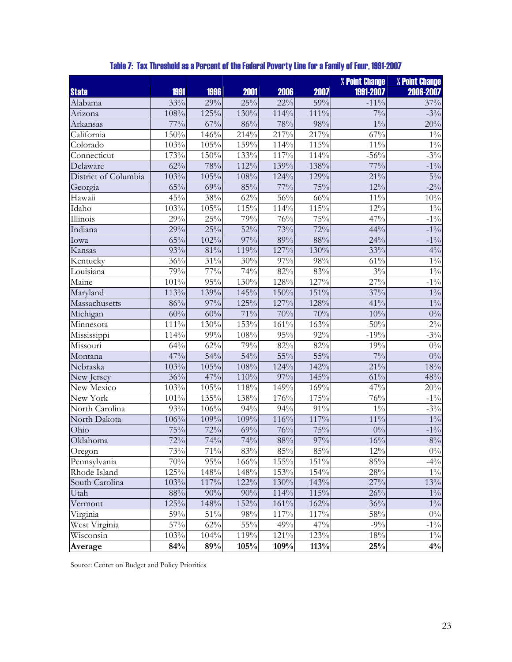|                      |         |         |         |        |         | % Point Change | % Point Change   |
|----------------------|---------|---------|---------|--------|---------|----------------|------------------|
| <b>State</b>         | 1991    | 1996    | 2001    | 2006   | 2007    | 1991-2007      | 2006-2007        |
| Alabama              | 33%     | 29%     | $25\%$  | $22\%$ | 59%     | $-11\%$        | 37%              |
| Arizona              | 108%    | 125%    | 130%    | 114%   | 111%    | $7\%$          | $-3\%$           |
| Arkansas             | $77\%$  | 67%     | $86\%$  | 78%    | 98%     | $1\%$          | 20%              |
| California           | 150%    | 146%    | 214%    | 217%   | 217%    | $67\%$         | $1\%$            |
| Colorado             | 103%    | 105%    | 159%    | 114%   | 115%    | $11\%$         | $1\%$            |
| Connecticut          | 173%    | 150%    | 133%    | 117%   | 114%    | $-56%$         | $-3\%$           |
| Delaware             | 62%     | 78%     | 112%    | 139%   | 138%    | $77\%$         | $-1\%$           |
| District of Columbia | 103%    | 105%    | 108%    | 124%   | 129%    | $21\%$         | $5\%$            |
| Georgia              | 65%     | 69%     | 85%     | $77\%$ | 75%     | 12%            | $-2\%$           |
| Hawaii               | 45%     | 38%     | $62\%$  | 56%    | 66%     | $11\%$         | $10\%$           |
| Idaho                | 103%    | 105%    | $115\%$ | 114%   | 115%    | 12%            | $1\%$            |
| Illinois             | 29%     | 25%     | 79%     | 76%    | 75%     | 47%            | $-1\%$           |
| Indiana              | 29%     | 25%     | 52%     | 73%    | 72%     | 44%            | $-1\%$           |
| Iowa                 | 65%     | 102%    | 97%     | 89%    | 88%     | 24%            | $-1\%$           |
| Kansas               | 93%     | $81\%$  | 119%    | 127%   | 130%    | 33%            | $4\%$            |
| Kentucky             | 36%     | $31\%$  | 30%     | 97%    | 98%     | $61\%$         | $1\%$            |
| Louisiana            | 79%     | 77%     | $74\%$  | 82%    | 83%     | $3\%$          | $1\%$            |
| Maine                | $101\%$ | $95\%$  | $130\%$ | 128%   | 127%    | 27%            | $-1\%$           |
| Maryland             | 113%    | 139%    | 145%    | 150%   | $151\%$ | 37%            | $1\%$            |
| Massachusetts        | 86%     | $97\%$  | 125%    | 127%   | 128%    | 41%            | $1\%$            |
| Michigan             | $60\%$  | 60%     | 71%     | 70%    | 70%     | 10%            | $0\%$            |
| Minnesota            | 111%    | 130%    | 153%    | 161%   | 163%    | 50%            | $2\%$            |
| Mississippi          | 114%    | 99%     | 108%    | 95%    | 92%     | $-19%$         | $-3\%$           |
| Missouri             | 64%     | 62%     | 79%     | 82%    | 82%     | 19%            | $\overline{0\%}$ |
| Montana              | 47%     | 54%     | $54\%$  | $55\%$ | 55%     | $7\frac{0}{6}$ | $0\%$            |
| Nebraska             | 103%    | 105%    | 108%    | 124%   | 142%    | 21%            | 18%              |
| New Jersey           | 36%     | 47%     | 110%    | 97%    | 145%    | 61%            | 48%              |
| New Mexico           | 103%    | 105%    | $118\%$ | 149%   | 169%    | 47%            | 20%              |
| New York             | 101%    | 135%    | 138%    | 176%   | 175%    | 76%            | $-1\%$           |
| North Carolina       | 93%     | $106\%$ | 94%     | $94\%$ | $91\%$  | $1\%$          | $-3\%$           |
| North Dakota         | 106%    | 109%    | 109%    | 116%   | 117%    | $11\%$         | $1\%$            |
| Ohio                 | 75%     | 72%     | 69%     | 76%    | 75%     | $0\%$          | $-1\%$           |
| Oklahoma             | 72%     | 74%     | $74\%$  | 88%    | $97\%$  | $16\%$         | $8\%$            |
| Oregon               | 73%     | 71%     | 83%     | 85%    | $85\%$  | $12\%$         | $0\%$            |
| Pennsylvania         | 70%     | 95%     | 166%    | 155%   | 151%    | $85\%$         | $-4\%$           |
| Rhode Island         | 125%    | 148%    | 148%    | 153%   | 154%    | 28%            | $1\%$            |
| South Carolina       | 103%    | 117%    | 122%    | 130%   | 143%    | 27%            | $13\%$           |
| Utah                 | 88%     | 90%     | 90%     | 114%   | $115\%$ | 26%            | $1\%$            |
| Vermont              | 125%    | 148%    | 152%    | 161%   | 162%    | 36%            | $1\%$            |
| Virginia             | 59%     | $51\%$  | 98%     | 117%   | 117%    | 58%            | $0\%$            |
| West Virginia        | 57%     | 62%     | $55\%$  | 49%    | 47%     | $-9%$          | $-1\%$           |
| Wisconsin            | 103%    | 104%    | 119%    | 121%   | 123%    | 18%            | $1\%$            |
| Average              | 84%     | 89%     | 105%    | 109%   | 113%    | 25%            | $4\%$            |

## Table 7: Tax Threshold as a Percent of the Federal Poverty Line for a Family of Four, 1991-2007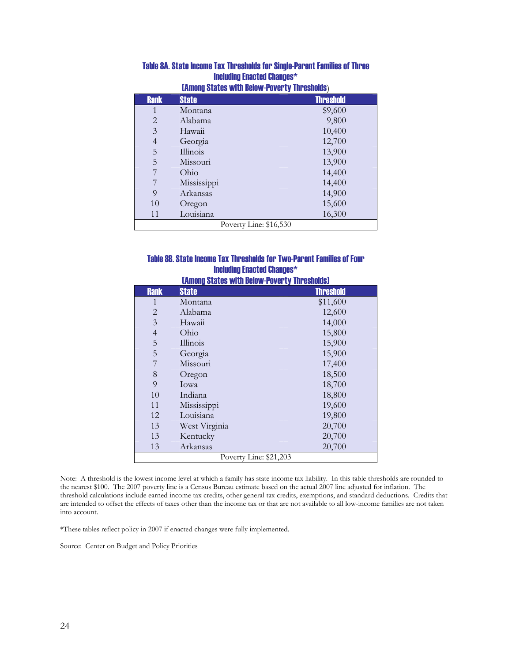| Company occupe them poletic color of the concider |              |                  |  |
|---------------------------------------------------|--------------|------------------|--|
| <b>Rank</b>                                       | <b>State</b> | <b>Threshold</b> |  |
|                                                   | Montana      | \$9,600          |  |
| $\overline{2}$                                    | Alabama      | 9,800            |  |
| 3                                                 | Hawaii       | 10,400           |  |
| 4                                                 | Georgia      | 12,700           |  |
| 5                                                 | Illinois     | 13,900           |  |
| 5                                                 | Missouri     | 13,900           |  |
|                                                   | Ohio         | 14,400           |  |
|                                                   | Mississippi  | 14,400           |  |
| 9                                                 | Arkansas     | 14,900           |  |
| 10                                                | Oregon       | 15,600           |  |
| 11                                                | Louisiana    | 16,300           |  |
| Poverty Line: \$16,530                            |              |                  |  |

#### Table 8A. State Income Tax Thresholds for Single-Parent Families of Three Including Enacted Changes\* (Among States with Below-Poverty Thresholds)

#### Table 8B. State Income Tax Thresholds for Two-Parent Families of Four Including Enacted Changes\* **(Among States with Relow-Doverty Thresholds)**

| <u>LAINUNG OLALGO WILH DGIUW TUVGI LY TIN GONUNUOJ</u> |               |                  |  |  |
|--------------------------------------------------------|---------------|------------------|--|--|
| <b>Rank</b>                                            | <b>State</b>  | <b>Threshold</b> |  |  |
| 1                                                      | Montana       | \$11,600         |  |  |
| $\overline{2}$                                         | Alabama       | 12,600           |  |  |
| $\overline{3}$                                         | Hawaii        | 14,000           |  |  |
| $\overline{\mathcal{L}}$                               | Ohio          | 15,800           |  |  |
| $\overline{5}$                                         | Illinois      | 15,900           |  |  |
| 5                                                      | Georgia       | 15,900           |  |  |
| 7                                                      | Missouri      | 17,400           |  |  |
| $\,$ 8 $\,$                                            | Oregon        | 18,500           |  |  |
| 9                                                      | Iowa          | 18,700           |  |  |
| 10                                                     | Indiana       | 18,800           |  |  |
| 11                                                     | Mississippi   | 19,600           |  |  |
| 12                                                     | Louisiana     | 19,800           |  |  |
| 13                                                     | West Virginia | 20,700           |  |  |
| 13                                                     | Kentucky      | 20,700           |  |  |
| 13                                                     | Arkansas      | 20,700           |  |  |
| Poverty Line: \$21,203                                 |               |                  |  |  |

Note: A threshold is the lowest income level at which a family has state income tax liability. In this table thresholds are rounded to the nearest \$100. The 2007 poverty line is a Census Bureau estimate based on the actual 2007 line adjusted for inflation. The threshold calculations include earned income tax credits, other general tax credits, exemptions, and standard deductions. Credits that are intended to offset the effects of taxes other than the income tax or that are not available to all low-income families are not taken into account.

\*These tables reflect policy in 2007 if enacted changes were fully implemented.